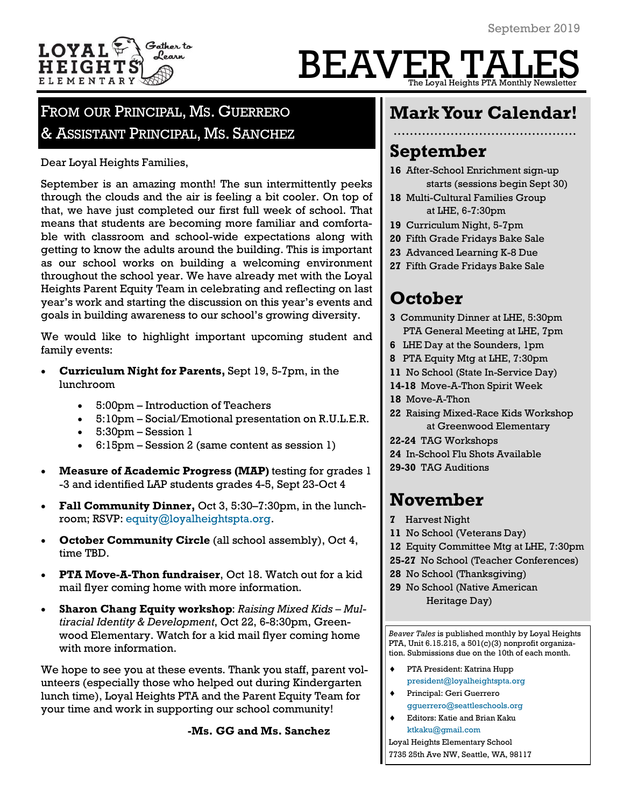

## BEAVER TA The Loyal Heights PTA Monthly Newsle

### FROM OUR PRINCIPAL, MS. GUERRERO & ASSISTANT PRINCIPAL, MS. SANCHEZ

Dear Loyal Heights Families,

September is an amazing month! The sun intermittently peeks through the clouds and the air is feeling a bit cooler. On top of that, we have just completed our first full week of school. That means that students are becoming more familiar and comfortable with classroom and school-wide expectations along with getting to know the adults around the building. This is important as our school works on building a welcoming environment throughout the school year. We have already met with the Loyal Heights Parent Equity Team in celebrating and reflecting on last year's work and starting the discussion on this year's events and goals in building awareness to our school's growing diversity.

We would like to highlight important upcoming student and family events:

- **Curriculum Night for Parents,** Sept 19, 5-7pm, in the lunchroom
	- 5:00pm Introduction of Teachers
	- 5:10pm Social/Emotional presentation on R.U.L.E.R.
	- 5:30pm Session 1
	- 6:15pm Session 2 (same content as session 1)
- **Measure of Academic Progress (MAP)** testing for grades 1 -3 and identified LAP students grades 4-5, Sept 23-Oct 4
- **Fall Community Dinner,** Oct 3, 5:30–7:30pm, in the lunchroom; RSVP: [equity@loyalheightspta.org.](mailto:equity@loyalheightspta.org)
- **October Community Circle** (all school assembly), Oct 4, time TBD.
- **PTA Move-A-Thon fundraiser**, Oct 18. Watch out for a kid mail flyer coming home with more information.
- **Sharon Chang Equity workshop**: *Raising Mixed Kids – Multiracial Identity & Development*, Oct 22, 6-8:30pm, Greenwood Elementary. Watch for a kid mail flyer coming home with more information.

We hope to see you at these events. Thank you staff, parent volunteers (especially those who helped out during Kindergarten lunch time), Loyal Heights PTA and the Parent Equity Team for your time and work in supporting our school community!

**-Ms. GG and Ms. Sanchez**

### **Mark Your Calendar!**

### **September**

- **16** After-School Enrichment sign-up starts (sessions begin Sept 30)
- **18** Multi-Cultural Families Group at LHE, 6-7:30pm
- **19** Curriculum Night, 5-7pm
- **20** Fifth Grade Fridays Bake Sale
- **23** Advanced Learning K-8 Due
- **27** Fifth Grade Fridays Bake Sale

### **October**

- **3** Community Dinner at LHE, 5:30pm PTA General Meeting at LHE, 7pm
- **6** LHE Day at the Sounders, 1pm
- **8** PTA Equity Mtg at LHE, 7:30pm
- **11** No School (State In-Service Day)
- **14-18** Move-A-Thon Spirit Week
- **18** Move-A-Thon
- **22** Raising Mixed-Race Kids Workshop at Greenwood Elementary
- **22-24** TAG Workshops
- **24** In-School Flu Shots Available
- **29-30** TAG Auditions

### **November**

- **7** Harvest Night
- **11** No School (Veterans Day)
- **12** Equity Committee Mtg at LHE, 7:30pm
- **25-27** No School (Teacher Conferences)
- **28** No School (Thanksgiving)
- **29** No School (Native American Heritage Day)

*Beaver Tales* is published monthly by Loyal Heights PTA, Unit 6.15.215, a 501(c)(3) nonprofit organization. Submissions due on the 10th of each month.

- PTA President: Katrina Hupp [president@loyalheightspta.org](mailto:president@loyalheightspta.org)
- Principal: Geri Guerrero [gguerrero@seattleschools.org](mailto:gguerrero@seattleschools.org)
- Editors: Katie and Brian Kaku [ktkaku@gmail.com](mailto:ktkaku@gmail.com)

Loyal Heights Elementary School 7735 25th Ave NW, Seattle, WA, 98117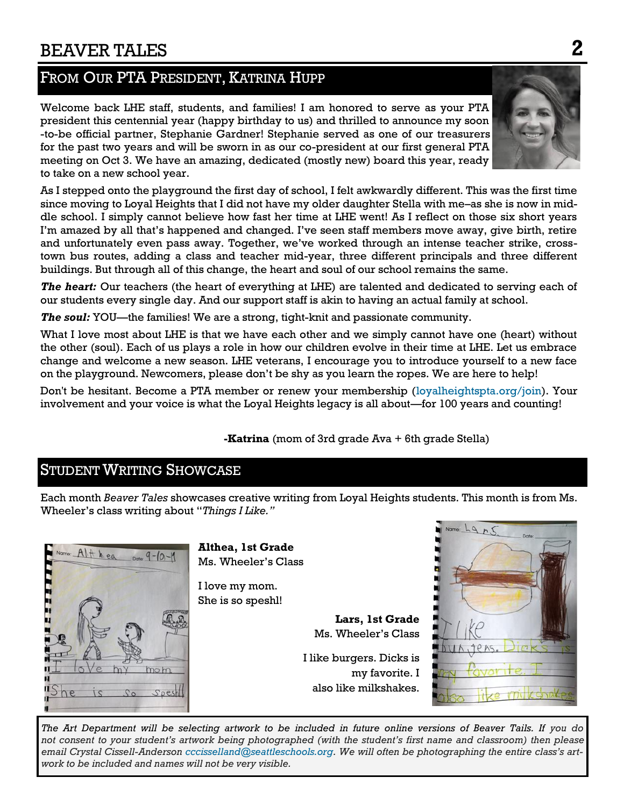### BEAVER TALES **2**

### FROM OUR PTA PRESIDENT, KATRINA HUPP

Welcome back LHE staff, students, and families! I am honored to serve as your PTA president this centennial year (happy birthday to us) and thrilled to announce my soon -to-be official partner, Stephanie Gardner! Stephanie served as one of our treasurers for the past two years and will be sworn in as our co-president at our first general PTA meeting on Oct 3. We have an amazing, dedicated (mostly new) board this year, ready to take on a new school year.

As I stepped onto the playground the first day of school, I felt awkwardly different. This was the first time since moving to Loyal Heights that I did not have my older daughter Stella with me–as she is now in middle school. I simply cannot believe how fast her time at LHE went! As I reflect on those six short years I'm amazed by all that's happened and changed. I've seen staff members move away, give birth, retire and unfortunately even pass away. Together, we've worked through an intense teacher strike, crosstown bus routes, adding a class and teacher mid-year, three different principals and three different buildings. But through all of this change, the heart and soul of our school remains the same.

*The heart:* Our teachers (the heart of everything at LHE) are talented and dedicated to serving each of our students every single day. And our support staff is akin to having an actual family at school.

*The soul:* YOU—the families! We are a strong, tight-knit and passionate community.

What I love most about LHE is that we have each other and we simply cannot have one (heart) without the other (soul). Each of us plays a role in how our children evolve in their time at LHE. Let us embrace change and welcome a new season. LHE veterans, I encourage you to introduce yourself to a new face on the playground. Newcomers, please don't be shy as you learn the ropes. We are here to help!

Don't be hesitant. Become a PTA member or renew your membership ([loyalheightspta.org/join\).](http://loyalheightspta.org/join) Your involvement and your voice is what the Loyal Heights legacy is all about—for 100 years and counting!

**-Katrina** (mom of 3rd grade Ava + 6th grade Stella)

### **STUDENT WRITING SHOWCASE**

Each month *Beaver Tales* showcases creative writing from Loyal Heights students. This month is from Ms. Wheeler's class writing about "*Things I Like."*



**Althea, 1st Grade** Ms. Wheeler's Class

I love my mom. She is so speshl!

> **Lars, 1st Grade** Ms. Wheeler's Class

I like burgers. Dicks is my favorite. I also like milkshakes.



*The Art Department will be selecting artwork to be included in future online versions of Beaver Tails. If you do not consent to your student's artwork being photographed (with the student's first name and classroom) then please email Crystal Cissell-Anderson [cccisselland@seattleschools.org](mailto:cccisselland@seattleschools.org). We will often be photographing the entire class's artwork to be included and names will not be very visible.*



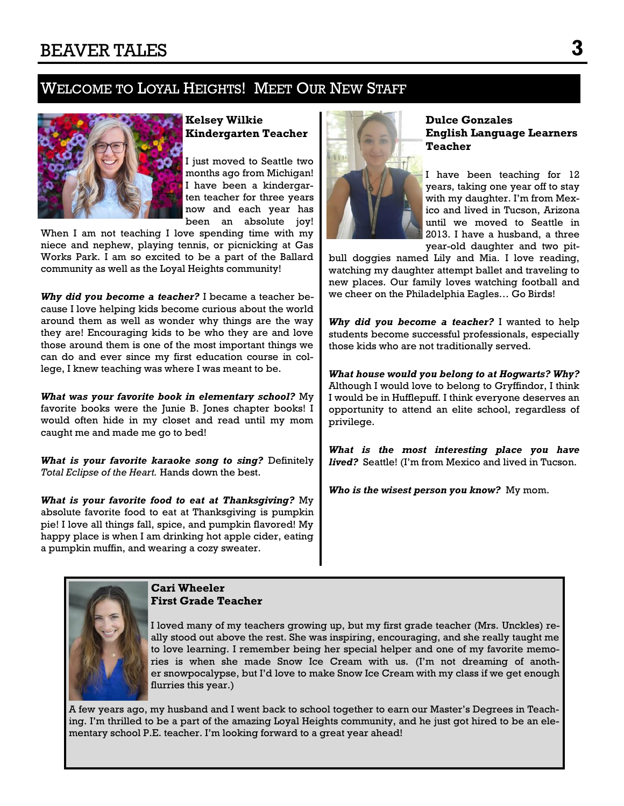### WELCOME TO LOYAL HEIGHTS! MEET OUR NEW STAFF



### **Kelsey Wilkie Kindergarten Teacher**

I just moved to Seattle two months ago from Michigan! I have been a kindergarten teacher for three years now and each year has been an absolute joy!

When I am not teaching I love spending time with my niece and nephew, playing tennis, or picnicking at Gas Works Park. I am so excited to be a part of the Ballard community as well as the Loyal Heights community!

*Why did you become a teacher?* I became a teacher because I love helping kids become curious about the world around them as well as wonder why things are the way they are! Encouraging kids to be who they are and love those around them is one of the most important things we can do and ever since my first education course in college, I knew teaching was where I was meant to be.

*What was your favorite book in elementary school?* My favorite books were the Junie B. Jones chapter books! I would often hide in my closet and read until my mom caught me and made me go to bed!

*What is your favorite karaoke song to sing?* Definitely *Total Eclipse of the Heart.* Hands down the best.

*What is your favorite food to eat at Thanksgiving?* My absolute favorite food to eat at Thanksgiving is pumpkin pie! I love all things fall, spice, and pumpkin flavored! My happy place is when I am drinking hot apple cider, eating a pumpkin muffin, and wearing a cozy sweater.



#### **Dulce Gonzales English Language Learners Teacher**

I have been teaching for 12 years, taking one year off to stay with my daughter. I'm from Mexico and lived in Tucson, Arizona until we moved to Seattle in 2013. I have a husband, a three year-old daughter and two pit-

bull doggies named Lily and Mia. I love reading, watching my daughter attempt ballet and traveling to new places. Our family loves watching football and we cheer on the Philadelphia Eagles… Go Birds!

*Why did you become a teacher?* I wanted to help students become successful professionals, especially those kids who are not traditionally served.

*What house would you belong to at Hogwarts? Why?*  Although I would love to belong to Gryffindor, I think I would be in Hufflepuff. I think everyone deserves an opportunity to attend an elite school, regardless of privilege.

*What is the most interesting place you have lived?* Seattle! (I'm from Mexico and lived in Tucson.

*Who is the wisest person you know?* My mom.



**Cari Wheeler First Grade Teacher**

I loved many of my teachers growing up, but my first grade teacher (Mrs. Unckles) really stood out above the rest. She was inspiring, encouraging, and she really taught me to love learning. I remember being her special helper and one of my favorite memories is when she made Snow Ice Cream with us. (I'm not dreaming of another snowpocalypse, but I'd love to make Snow Ice Cream with my class if we get enough flurries this year.)

A few years ago, my husband and I went back to school together to earn our Master's Degrees in Teaching. I'm thrilled to be a part of the amazing Loyal Heights community, and he just got hired to be an elementary school P.E. teacher. I'm looking forward to a great year ahead!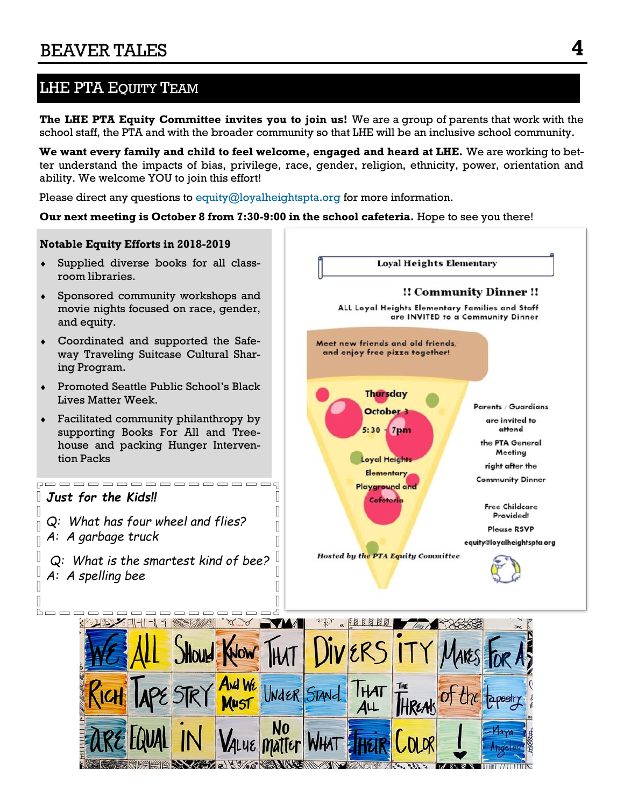### LHE PTA EQUITY TEAM

**The LHE PTA Equity Committee invites you to join us!** We are a group of parents that work with the school staff, the PTA and with the broader community so that LHE will be an inclusive school community.

**We want every family and child to feel welcome, engaged and heard at LHE.** We are working to better understand the impacts of bias, privilege, race, gender, religion, ethnicity, power, orientation and ability. We welcome YOU to join this effort!

Please direct any questions to [equity@loyalheightspta.org](mailto:equity@loyalheightspta.org) for more information.

#### **Our next meeting is October 8 from 7:30-9:00 in the school cafeteria.** Hope to see you there!

中国

Ш

 $\sqrt{2}$ 

П

#### **Notable Equity Efforts in 2018-2019**

- Supplied diverse books for all classroom libraries.
- Sponsored community workshops and movie nights focused on race, gender, and equity.
- Coordinated and supported the Safeway Traveling Suitcase Cultural Sharing Program.
- Promoted Seattle Public School's Black Lives Matter Week.
- Facilitated community philanthropy by supporting Books For All and Treehouse and packing Hunger Intervention Packs

, \_ \_ \_ \_ \_ \_ \_ \_ \_ \_ \_ \_ \_ \_ \_ \_ \_ \_

### *Just for the Kids!!*

 $\mathbb{L}$ 

 $\mathbb{I}$ 

 $\Box$ 

- *Q: What has four wheel and flies? A: A garbage truck*
- *Q: What is the smartest kind of bee?* I *A: A spelling bee*I



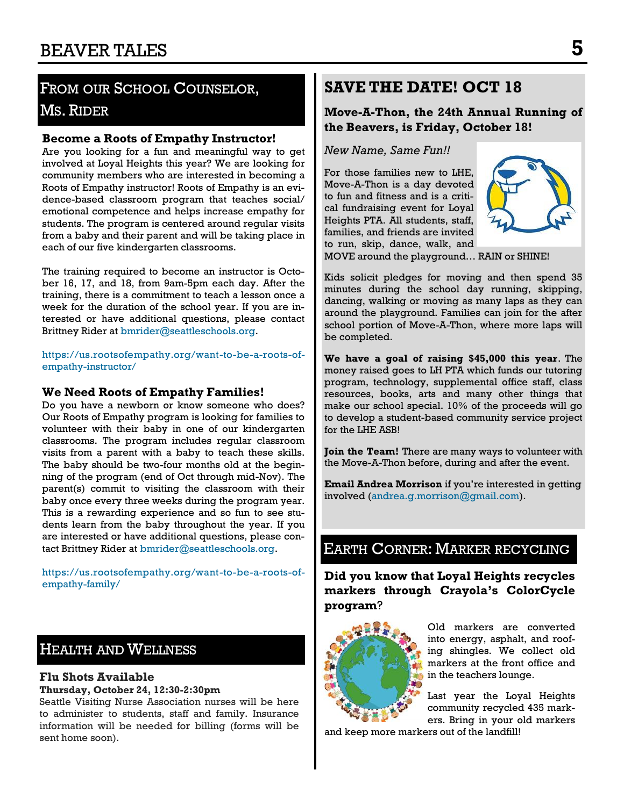### FROM OUR SCHOOL COUNSELOR, MS. RIDER

#### **Become a Roots of Empathy Instructor!**

Are you looking for a fun and meaningful way to get involved at Loyal Heights this year? We are looking for community members who are interested in becoming a Roots of Empathy instructor! Roots of Empathy is an evidence-based classroom program that teaches social/ emotional competence and helps increase empathy for students. The program is centered around regular visits from a baby and their parent and will be taking place in each of our five kindergarten classrooms.

The training required to become an instructor is October 16, 17, and 18, from 9am-5pm each day. After the training, there is a commitment to teach a lesson once a week for the duration of the school year. If you are interested or have additional questions, please contact Brittney Rider at [bmrider@seattleschools.org.](mailto:bmrider@seattleschools.org)

[https://us.rootsofempathy.org/want-to-be-a-roots-of](https://us.rootsofempathy.org/want-to-be-a-roots-of-empathy-instructor/)[empathy-instructor/](https://us.rootsofempathy.org/want-to-be-a-roots-of-empathy-instructor/)

#### **We Need Roots of Empathy Families!**

Do you have a newborn or know someone who does? Our Roots of Empathy program is looking for families to volunteer with their baby in one of our kindergarten classrooms. The program includes regular classroom visits from a parent with a baby to teach these skills. The baby should be two-four months old at the beginning of the program (end of Oct through mid-Nov). The parent(s) commit to visiting the classroom with their baby once every three weeks during the program year. This is a rewarding experience and so fun to see students learn from the baby throughout the year. If you are interested or have additional questions, please contact Brittney Rider at [bmrider@seattleschools.org.](mailto:bmrider@seattleschools.org)

[https://us.rootsofempathy.org/want-to-be-a-roots-of](https://us.rootsofempathy.org/want-to-be-a-roots-of-empathy-family/)[empathy-family/](https://us.rootsofempathy.org/want-to-be-a-roots-of-empathy-family/)

### HEALTH AND WELLNESS

#### **Flu Shots Available**

#### **Thursday, October 24, 12:30-2:30pm**

Seattle Visiting Nurse Association nurses will be here to administer to students, staff and family. Insurance information will be needed for billing (forms will be sent home soon).

### **SAVE THE DATE! OCT 18**

**Move-A-Thon, the 24th Annual Running of the Beavers, is Friday, October 18!** 

*New Name, Same Fun!!*

For those families new to LHE, Move-A-Thon is a day devoted to fun and fitness and is a critical fundraising event for Loyal Heights PTA. All students, staff, families, and friends are invited to run, skip, dance, walk, and



MOVE around the playground… RAIN or SHINE!

Kids solicit pledges for moving and then spend 35 minutes during the school day running, skipping, dancing, walking or moving as many laps as they can around the playground. Families can join for the after school portion of Move-A-Thon, where more laps will be completed.

**We have a goal of raising \$45,000 this year**. The money raised goes to LH PTA which funds our tutoring program, technology, supplemental office staff, class resources, books, arts and many other things that make our school special. 10% of the proceeds will go to develop a student-based community service project for the LHE ASB!

**Join the Team!** There are many ways to volunteer with the Move-A-Thon before, during and after the event.

**Email Andrea Morrison** if you're interested in getting involved ([andrea.g.morrison@gmail.com\)](mailto:andrea.g.morrison@gmail.com).

### EARTH CORNER: MARKER RECYCLING

**Did you know that Loyal Heights recycles markers through Crayola's ColorCycle program**?



Old markers are converted into energy, asphalt, and roofing shingles. We collect old markers at the front office and in the teachers lounge.

Last year the Loyal Heights community recycled 435 markers. Bring in your old markers

and keep more markers out of the landfill!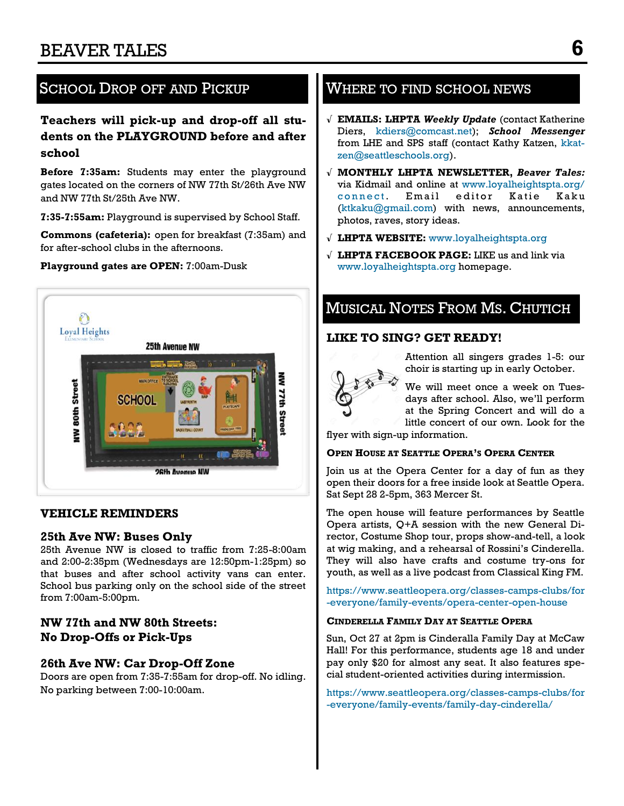### SCHOOL DROP OFF AND PICKUP WHERE TO FIND SCHOOL NEWS

#### **Teachers will pick-up and drop-off all students on the PLAYGROUND before and after school**

**Before 7:35am:** Students may enter the playground gates located on the corners of NW 77th St/26th Ave NW and NW 77th St/25th Ave NW.

**7:35-7:55am:** Playground is supervised by School Staff.

**Commons (cafeteria):** open for breakfast (7:35am) and for after-school clubs in the afternoons.

#### **Playground gates are OPEN:** 7:00am-Dusk



#### **VEHICLE REMINDERS**

#### **25th Ave NW: Buses Only**

25th Avenue NW is closed to traffic from 7:25-8:00am and 2:00-2:35pm (Wednesdays are 12:50pm-1:25pm) so that buses and after school activity vans can enter. School bus parking only on the school side of the street from 7:00am-5:00pm.

#### **NW 77th and NW 80th Streets: No Drop-Offs or Pick-Ups**

#### **26th Ave NW: Car Drop-Off Zone**

Doors are open from 7:35-7:55am for drop-off. No idling. No parking between 7:00-10:00am.

- √ **EMAILS: LHPTA** *Weekly Update* (contact Katherine Diers, [kdiers@comcast.net\)](mailto:kdiers@comcast.net); *School Messenger* from LHE and SPS staff (contact Kathy Katzen, [kkat](mailto:kkatzen@seattleschools.org)[zen@seattleschools.org\)](mailto:kkatzen@seattleschools.org).
- √ **MONTHLY LHPTA NEWSLETTER,** *Beaver Tales:*  via Kidmail and online at [www.loyalheightspta.org/](http://www.loyalheightspta.org/connect) connect. Email editor Katie Kaku [\(ktkaku@gmail.com\)](mailto:ktkaku@gmail.com) with news, announcements, photos, raves, story ideas.
- √ **LHPTA WEBSITE:** [www.loyalheightspta.org](http://www.loyalheightspta.org)
- √ **LHPTA FACEBOOK PAGE:** LIKE us and link via [www.loyalheightspta.org](http://www.loyalheightspta.org) homepage.

### MUSICAL NOTES FROM MS. CHUTICH

#### **LIKE TO SING? GET READY!**



Attention all singers grades 1-5: our choir is starting up in early October.

We will meet once a week on Tuesdays after school. Also, we'll perform at the Spring Concert and will do a little concert of our own. Look for the

flyer with sign-up information.

#### **OPEN HOUSE AT SEATTLE OPERA'S OPERA CENTER**

Join us at the Opera Center for a day of fun as they open their doors for a free inside look at Seattle Opera. Sat Sept 28 2-5pm, 363 Mercer St.

The open house will feature performances by Seattle Opera artists, Q+A session with the new General Director, Costume Shop tour, props show-and-tell, a look at wig making, and a rehearsal of Rossini's Cinderella. They will also have crafts and costume try-ons for youth, as well as a live podcast from Classical King FM.

[https://www.seattleopera.org/classes-camps-clubs/for](https://www.seattleopera.org/classes-camps-clubs/for-everyone/family-events/opera-center-open-house/?utm_source=wordfly&utm_medium=email&utm_campaign=20190829OpenHouseInvitation&utm_content=version_A) [-everyone/family-events/opera-center-open-house](https://www.seattleopera.org/classes-camps-clubs/for-everyone/family-events/opera-center-open-house/?utm_source=wordfly&utm_medium=email&utm_campaign=20190829OpenHouseInvitation&utm_content=version_A)

#### **CINDERELLA FAMILY DAY AT SEATTLE OPERA**

Sun, Oct 27 at 2pm is Cinderalla Family Day at McCaw Hall! For this performance, students age 18 and under pay only \$20 for almost any seat. It also features special student-oriented activities during intermission.

[https://www.seattleopera.org/classes-camps-clubs/for](https://www.seattleopera.org/classes-camps-clubs/for-everyone/family-events/family-day-cinderella/) [-everyone/family-events/family-day-cinderella/](https://www.seattleopera.org/classes-camps-clubs/for-everyone/family-events/family-day-cinderella/)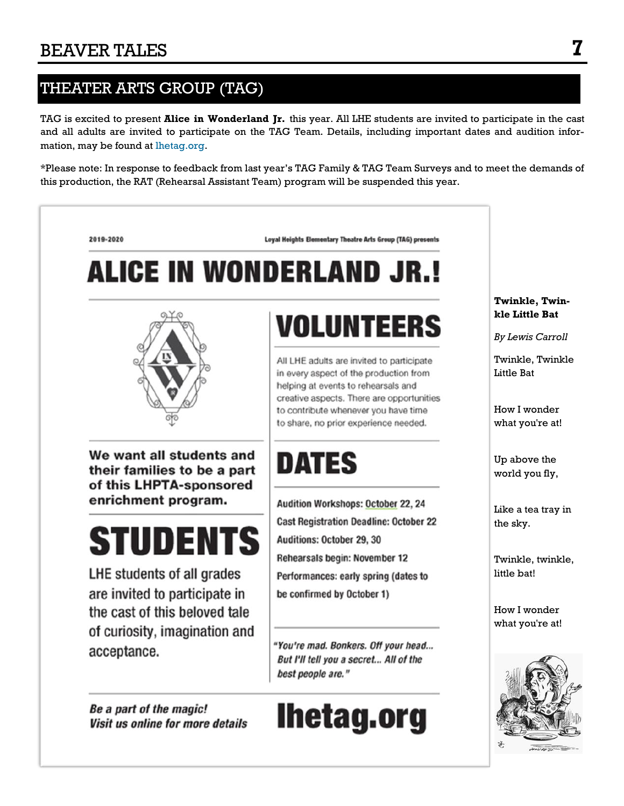### THEATER ARTS GROUP (TAG)

Be a part of the magic!

Visit us online for more details

TAG is excited to present **Alice in Wonderland Jr.** this year. All LHE students are invited to participate in the cast and all adults are invited to participate on the TAG Team. Details, including important dates and audition information, may be found at [lhetag.org.](http://lhetag.org)

\*Please note: In response to feedback from last year's TAG Family & TAG Team Surveys and to meet the demands of this production, the RAT (Rehearsal Assistant Team) program will be suspended this year.



"You're mad. Bonkers. Off your head... But I'll tell you a secret... All of the best people are."

# **Ihetag.org**

#### **Twinkle, Twinkle Little Bat**

*By Lewis Carroll*

Twinkle, Twinkle Little Bat

How I wonder what you're at!

Up above the world you fly,

Like a tea tray in the sky.

Twinkle, twinkle, little bat!

How I wonder what you're at!